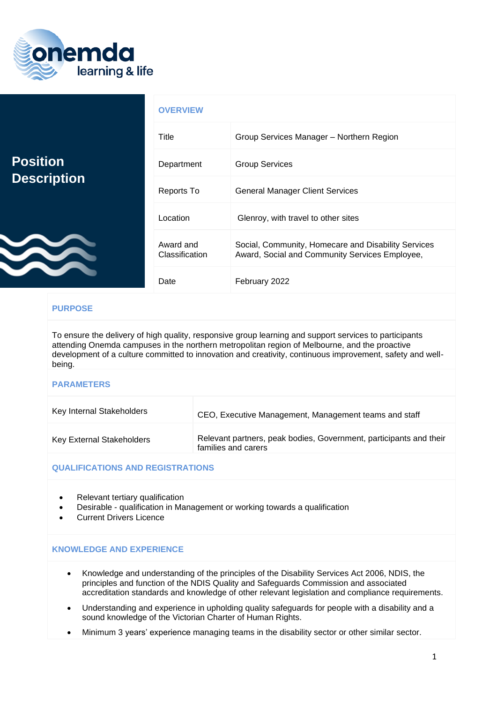

|                                       | <b>OVERVIEW</b>             |                                                                                                       |
|---------------------------------------|-----------------------------|-------------------------------------------------------------------------------------------------------|
| <b>Position</b><br><b>Description</b> | Title                       | Group Services Manager - Northern Region                                                              |
|                                       | Department                  | <b>Group Services</b>                                                                                 |
|                                       | Reports To                  | <b>General Manager Client Services</b>                                                                |
|                                       | Location                    | Glenroy, with travel to other sites                                                                   |
|                                       | Award and<br>Classification | Social, Community, Homecare and Disability Services<br>Award, Social and Community Services Employee, |
|                                       | Date                        | February 2022                                                                                         |

# **PURPOSE**

To ensure the delivery of high quality, responsive group learning and support services to participants attending Onemda campuses in the northern metropolitan region of Melbourne, and the proactive development of a culture committed to innovation and creativity, continuous improvement, safety and wellbeing.

#### **PARAMETERS**

| Key Internal Stakeholders | CEO, Executive Management, Management teams and staff                                     |
|---------------------------|-------------------------------------------------------------------------------------------|
| Key External Stakeholders | Relevant partners, peak bodies, Government, participants and their<br>families and carers |

### **QUALIFICATIONS AND REGISTRATIONS**

- Relevant tertiary qualification
- Desirable qualification in Management or working towards a qualification
- Current Drivers Licence

## **KNOWLEDGE AND EXPERIENCE**

- Knowledge and understanding of the principles of the Disability Services Act 2006, NDIS, the principles and function of the NDIS Quality and Safeguards Commission and associated accreditation standards and knowledge of other relevant legislation and compliance requirements.
- Understanding and experience in upholding quality safeguards for people with a disability and a sound knowledge of the Victorian Charter of Human Rights.
- Minimum 3 years' experience managing teams in the disability sector or other similar sector.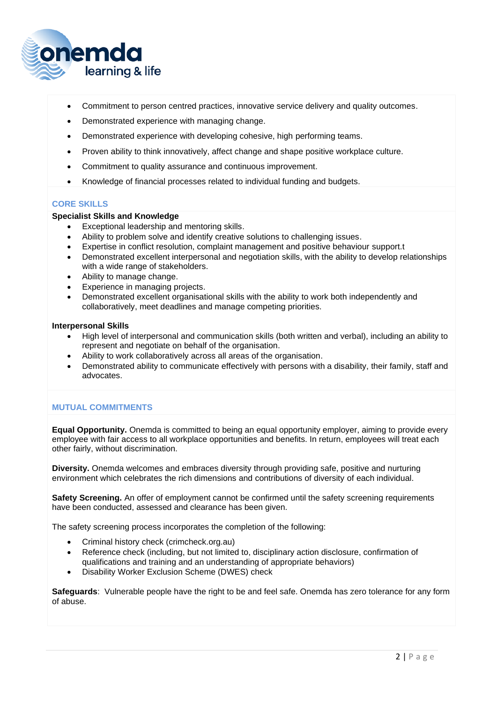

- Commitment to person centred practices, innovative service delivery and quality outcomes.
- Demonstrated experience with managing change.
- Demonstrated experience with developing cohesive, high performing teams.
- Proven ability to think innovatively, affect change and shape positive workplace culture.
- Commitment to quality assurance and continuous improvement.
- Knowledge of financial processes related to individual funding and budgets.

### **CORE SKILLS**

## **Specialist Skills and Knowledge**

- Exceptional leadership and mentoring skills.
- Ability to problem solve and identify creative solutions to challenging issues.
- Expertise in conflict resolution, complaint management and positive behaviour support.t
- Demonstrated excellent interpersonal and negotiation skills, with the ability to develop relationships with a wide range of stakeholders.
- Ability to manage change.
- Experience in managing projects.
- Demonstrated excellent organisational skills with the ability to work both independently and collaboratively, meet deadlines and manage competing priorities.

#### **Interpersonal Skills**

- High level of interpersonal and communication skills (both written and verbal), including an ability to represent and negotiate on behalf of the organisation.
- Ability to work collaboratively across all areas of the organisation.
- Demonstrated ability to communicate effectively with persons with a disability, their family, staff and advocates.

### **MUTUAL COMMITMENTS**

**Equal Opportunity.** Onemda is committed to being an equal opportunity employer, aiming to provide every employee with fair access to all workplace opportunities and benefits. In return, employees will treat each other fairly, without discrimination.

**Diversity.** Onemda welcomes and embraces diversity through providing safe, positive and nurturing environment which celebrates the rich dimensions and contributions of diversity of each individual.

**Safety Screening.** An offer of employment cannot be confirmed until the safety screening requirements have been conducted, assessed and clearance has been given.

The safety screening process incorporates the completion of the following:

- Criminal history check (crimcheck.org.au)
- Reference check (including, but not limited to, disciplinary action disclosure, confirmation of qualifications and training and an understanding of appropriate behaviors)
- Disability Worker Exclusion Scheme (DWES) check

**Safeguards**: Vulnerable people have the right to be and feel safe. Onemda has zero tolerance for any form of abuse.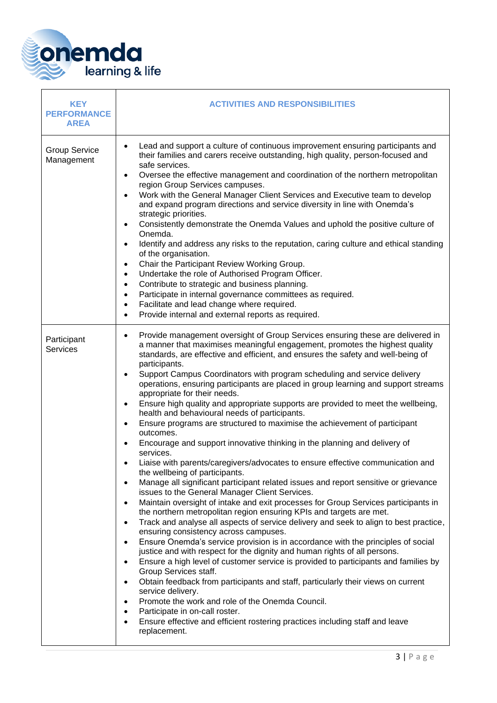

| <b>KEY</b><br><b>PERFORMANCE</b><br><b>AREA</b> | <b>ACTIVITIES AND RESPONSIBILITIES</b>                                                                                                                                                                                                                                                                                                                                                                                                                                                                                                                                                                                                                                                                                                                                                                                                                                                                                                                                                                                                                                                                                                                                                                                                                                                                                                                                                                                                                                                                                                                                                                                                                                                                                                                                                                                                                                                                                                                              |
|-------------------------------------------------|---------------------------------------------------------------------------------------------------------------------------------------------------------------------------------------------------------------------------------------------------------------------------------------------------------------------------------------------------------------------------------------------------------------------------------------------------------------------------------------------------------------------------------------------------------------------------------------------------------------------------------------------------------------------------------------------------------------------------------------------------------------------------------------------------------------------------------------------------------------------------------------------------------------------------------------------------------------------------------------------------------------------------------------------------------------------------------------------------------------------------------------------------------------------------------------------------------------------------------------------------------------------------------------------------------------------------------------------------------------------------------------------------------------------------------------------------------------------------------------------------------------------------------------------------------------------------------------------------------------------------------------------------------------------------------------------------------------------------------------------------------------------------------------------------------------------------------------------------------------------------------------------------------------------------------------------------------------------|
| <b>Group Service</b><br>Management              | Lead and support a culture of continuous improvement ensuring participants and<br>their families and carers receive outstanding, high quality, person-focused and<br>safe services.<br>Oversee the effective management and coordination of the northern metropolitan<br>$\bullet$<br>region Group Services campuses.<br>Work with the General Manager Client Services and Executive team to develop<br>and expand program directions and service diversity in line with Onemda's<br>strategic priorities.<br>Consistently demonstrate the Onemda Values and uphold the positive culture of<br>Onemda.<br>Identify and address any risks to the reputation, caring culture and ethical standing<br>$\bullet$<br>of the organisation.<br>Chair the Participant Review Working Group.<br>$\bullet$<br>Undertake the role of Authorised Program Officer.<br>$\bullet$<br>Contribute to strategic and business planning.<br>$\bullet$<br>Participate in internal governance committees as required.<br>$\bullet$<br>Facilitate and lead change where required.<br>$\bullet$<br>Provide internal and external reports as required.<br>$\bullet$                                                                                                                                                                                                                                                                                                                                                                                                                                                                                                                                                                                                                                                                                                                                                                                                                          |
| Participant<br>Services                         | Provide management oversight of Group Services ensuring these are delivered in<br>$\bullet$<br>a manner that maximises meaningful engagement, promotes the highest quality<br>standards, are effective and efficient, and ensures the safety and well-being of<br>participants.<br>Support Campus Coordinators with program scheduling and service delivery<br>operations, ensuring participants are placed in group learning and support streams<br>appropriate for their needs.<br>Ensure high quality and appropriate supports are provided to meet the wellbeing,<br>$\bullet$<br>health and behavioural needs of participants.<br>Ensure programs are structured to maximise the achievement of participant<br>outcomes.<br>Encourage and support innovative thinking in the planning and delivery of<br>services.<br>Liaise with parents/caregivers/advocates to ensure effective communication and<br>the wellbeing of participants.<br>Manage all significant participant related issues and report sensitive or grievance<br>issues to the General Manager Client Services.<br>Maintain oversight of intake and exit processes for Group Services participants in<br>the northern metropolitan region ensuring KPIs and targets are met.<br>Track and analyse all aspects of service delivery and seek to align to best practice,<br>ensuring consistency across campuses.<br>Ensure Onemda's service provision is in accordance with the principles of social<br>justice and with respect for the dignity and human rights of all persons.<br>Ensure a high level of customer service is provided to participants and families by<br>Group Services staff.<br>Obtain feedback from participants and staff, particularly their views on current<br>service delivery.<br>Promote the work and role of the Onemda Council.<br>Participate in on-call roster.<br>Ensure effective and efficient rostering practices including staff and leave<br>replacement. |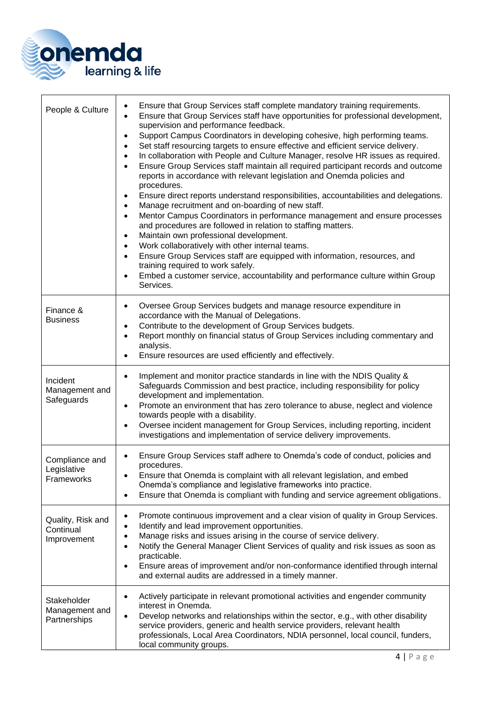

| People & Culture                              | Ensure that Group Services staff complete mandatory training requirements.<br>$\bullet$<br>Ensure that Group Services staff have opportunities for professional development,<br>supervision and performance feedback.<br>Support Campus Coordinators in developing cohesive, high performing teams.<br>$\bullet$<br>Set staff resourcing targets to ensure effective and efficient service delivery.<br>$\bullet$<br>In collaboration with People and Culture Manager, resolve HR issues as required.<br>$\bullet$<br>Ensure Group Services staff maintain all required participant records and outcome<br>$\bullet$<br>reports in accordance with relevant legislation and Onemda policies and<br>procedures.<br>Ensure direct reports understand responsibilities, accountabilities and delegations.<br>$\bullet$<br>Manage recruitment and on-boarding of new staff.<br>$\bullet$<br>Mentor Campus Coordinators in performance management and ensure processes<br>$\bullet$<br>and procedures are followed in relation to staffing matters.<br>Maintain own professional development.<br>$\bullet$<br>Work collaboratively with other internal teams.<br>$\bullet$<br>Ensure Group Services staff are equipped with information, resources, and<br>$\bullet$<br>training required to work safely.<br>Embed a customer service, accountability and performance culture within Group<br>$\bullet$<br>Services. |
|-----------------------------------------------|-----------------------------------------------------------------------------------------------------------------------------------------------------------------------------------------------------------------------------------------------------------------------------------------------------------------------------------------------------------------------------------------------------------------------------------------------------------------------------------------------------------------------------------------------------------------------------------------------------------------------------------------------------------------------------------------------------------------------------------------------------------------------------------------------------------------------------------------------------------------------------------------------------------------------------------------------------------------------------------------------------------------------------------------------------------------------------------------------------------------------------------------------------------------------------------------------------------------------------------------------------------------------------------------------------------------------------------------------------------------------------------------------------------------|
| Finance &<br><b>Business</b>                  | Oversee Group Services budgets and manage resource expenditure in<br>$\bullet$<br>accordance with the Manual of Delegations.<br>Contribute to the development of Group Services budgets.<br>$\bullet$<br>Report monthly on financial status of Group Services including commentary and<br>$\bullet$<br>analysis.<br>Ensure resources are used efficiently and effectively.                                                                                                                                                                                                                                                                                                                                                                                                                                                                                                                                                                                                                                                                                                                                                                                                                                                                                                                                                                                                                                      |
| Incident<br>Management and<br>Safeguards      | Implement and monitor practice standards in line with the NDIS Quality &<br>$\bullet$<br>Safeguards Commission and best practice, including responsibility for policy<br>development and implementation.<br>Promote an environment that has zero tolerance to abuse, neglect and violence<br>$\bullet$<br>towards people with a disability.<br>Oversee incident management for Group Services, including reporting, incident<br>$\bullet$<br>investigations and implementation of service delivery improvements.                                                                                                                                                                                                                                                                                                                                                                                                                                                                                                                                                                                                                                                                                                                                                                                                                                                                                                |
| Compliance and<br>Legislative<br>Frameworks   | Ensure Group Services staff adhere to Onemda's code of conduct, policies and<br>procedures.<br>Ensure that Onemda is complaint with all relevant legislation, and embed<br>Onemda's compliance and legislative frameworks into practice.<br>Ensure that Onemda is compliant with funding and service agreement obligations.<br>$\bullet$                                                                                                                                                                                                                                                                                                                                                                                                                                                                                                                                                                                                                                                                                                                                                                                                                                                                                                                                                                                                                                                                        |
| Quality, Risk and<br>Continual<br>Improvement | Promote continuous improvement and a clear vision of quality in Group Services.<br>$\bullet$<br>Identify and lead improvement opportunities.<br>$\bullet$<br>Manage risks and issues arising in the course of service delivery.<br>$\bullet$<br>Notify the General Manager Client Services of quality and risk issues as soon as<br>$\bullet$<br>practicable.<br>Ensure areas of improvement and/or non-conformance identified through internal<br>$\bullet$<br>and external audits are addressed in a timely manner.                                                                                                                                                                                                                                                                                                                                                                                                                                                                                                                                                                                                                                                                                                                                                                                                                                                                                           |
| Stakeholder<br>Management and<br>Partnerships | Actively participate in relevant promotional activities and engender community<br>$\bullet$<br>interest in Onemda.<br>Develop networks and relationships within the sector, e.g., with other disability<br>$\bullet$<br>service providers, generic and health service providers, relevant health<br>professionals, Local Area Coordinators, NDIA personnel, local council, funders,<br>local community groups.                                                                                                                                                                                                                                                                                                                                                                                                                                                                                                                                                                                                                                                                                                                                                                                                                                                                                                                                                                                                  |